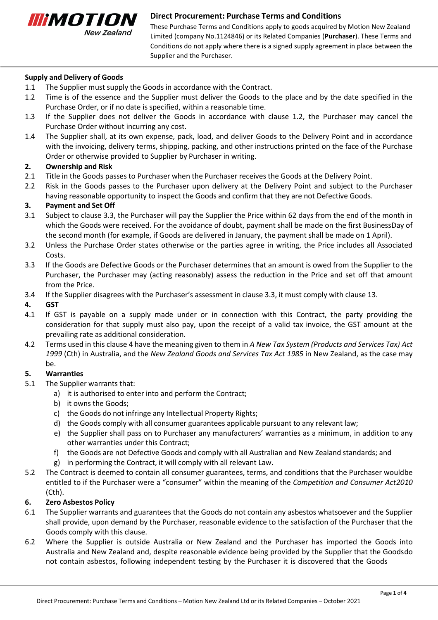

These Purchase Terms and Conditions apply to goods acquired by Motion New Zealand Limited (company No.1124846) or its Related Companies (**Purchaser**). These Terms and Conditions do not apply where there is a signed supply agreement in place between the Supplier and the Purchaser.

## **Supply and Delivery of Goods**

- 1.1 The Supplier must supply the Goods in accordance with the Contract.
- 1.2 Time is of the essence and the Supplier must deliver the Goods to the place and by the date specified in the Purchase Order, or if no date is specified, within a reasonable time.
- 1.3 If the Supplier does not deliver the Goods in accordance with clause 1.2, the Purchaser may cancel the Purchase Order without incurring any cost.
- 1.4 The Supplier shall, at its own expense, pack, load, and deliver Goods to the Delivery Point and in accordance with the invoicing, delivery terms, shipping, packing, and other instructions printed on the face of the Purchase Order or otherwise provided to Supplier by Purchaser in writing.

### **2. Ownership and Risk**

- 2.1 Title in the Goods passes to Purchaser when the Purchaser receives the Goods at the Delivery Point.
- 2.2 Risk in the Goods passes to the Purchaser upon delivery at the Delivery Point and subject to the Purchaser having reasonable opportunity to inspect the Goods and confirm that they are not Defective Goods.

## **3. Payment and Set Off**

- 3.1 Subject to clause 3.3, the Purchaser will pay the Supplier the Price within 62 days from the end of the month in which the Goods were received. For the avoidance of doubt, payment shall be made on the first BusinessDay of the second month (for example, if Goods are delivered in January, the payment shall be made on 1 April).
- 3.2 Unless the Purchase Order states otherwise or the parties agree in writing, the Price includes all Associated Costs.
- 3.3 If the Goods are Defective Goods or the Purchaser determines that an amount is owed from the Supplier to the Purchaser, the Purchaser may (acting reasonably) assess the reduction in the Price and set off that amount from the Price.
- 3.4 If the Supplier disagrees with the Purchaser's assessment in clause 3.3, it must comply with clause 13.

## **4. GST**

- 4.1 If GST is payable on a supply made under or in connection with this Contract, the party providing the consideration for that supply must also pay, upon the receipt of a valid tax invoice, the GST amount at the prevailing rate as additional consideration.
- 4.2 Terms used in this clause 4 have the meaning given to them in *A New Tax System (Products and Services Tax) Act 1999* (Cth) in Australia, and the *New Zealand Goods and Services Tax Act 1985* in New Zealand, as the case may be.

### **5. Warranties**

- 5.1 The Supplier warrants that:
	- a) it is authorised to enter into and perform the Contract;
	- b) it owns the Goods;
	- c) the Goods do not infringe any Intellectual Property Rights;
	- d) the Goods comply with all consumer guarantees applicable pursuant to any relevant law;
	- e) the Supplier shall pass on to Purchaser any manufacturers' warranties as a minimum, in addition to any other warranties under this Contract;
	- f) the Goods are not Defective Goods and comply with all Australian and New Zealand standards; and
	- g) in performing the Contract, it will comply with all relevant Law.
- 5.2 The Contract is deemed to contain all consumer guarantees, terms, and conditions that the Purchaser wouldbe entitled to if the Purchaser were a "consumer" within the meaning of the *Competition and Consumer Act2010* (Cth).

### **6. Zero Asbestos Policy**

- 6.1 The Supplier warrants and guarantees that the Goods do not contain any asbestos whatsoever and the Supplier shall provide, upon demand by the Purchaser, reasonable evidence to the satisfaction of the Purchaser that the Goods comply with this clause.
- 6.2 Where the Supplier is outside Australia or New Zealand and the Purchaser has imported the Goods into Australia and New Zealand and, despite reasonable evidence being provided by the Supplier that the Goodsdo not contain asbestos, following independent testing by the Purchaser it is discovered that the Goods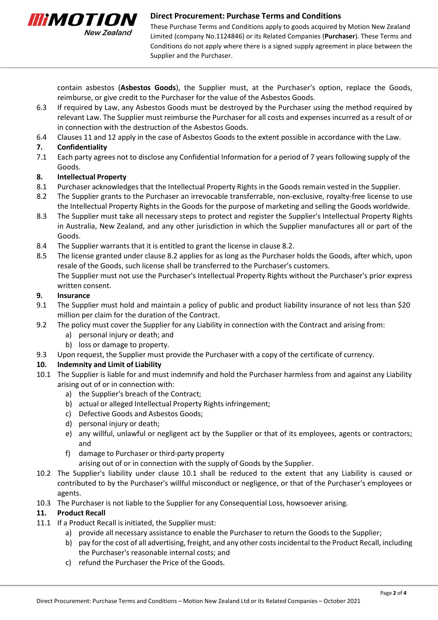

These Purchase Terms and Conditions apply to goods acquired by Motion New Zealand Limited (company No.1124846) or its Related Companies (**Purchaser**). These Terms and Conditions do not apply where there is a signed supply agreement in place between the Supplier and the Purchaser.

contain asbestos (**Asbestos Goods**), the Supplier must, at the Purchaser's option, replace the Goods, reimburse, or give credit to the Purchaser for the value of the Asbestos Goods.

- 6.3 If required by Law, any Asbestos Goods must be destroyed by the Purchaser using the method required by relevant Law. The Supplier must reimburse the Purchaser for all costs and expenses incurred as a result of or in connection with the destruction of the Asbestos Goods.
- 6.4 Clauses 11 and 12 apply in the case of Asbestos Goods to the extent possible in accordance with the Law.

# **7. Confidentiality**

7.1 Each party agrees not to disclose any Confidential Information for a period of 7 years following supply of the Goods.

# **8. Intellectual Property**

- 8.1 Purchaser acknowledges that the Intellectual Property Rights in the Goods remain vested in the Supplier.
- 8.2 The Supplier grants to the Purchaser an irrevocable transferrable, non-exclusive, royalty-free license to use the Intellectual Property Rights in the Goods for the purpose of marketing and selling the Goods worldwide.
- 8.3 The Supplier must take all necessary steps to protect and register the Supplier's Intellectual Property Rights in Australia, New Zealand, and any other jurisdiction in which the Supplier manufactures all or part of the Goods.
- 8.4 The Supplier warrants that it is entitled to grant the license in clause 8.2.
- 8.5 The license granted under clause 8.2 applies for as long as the Purchaser holds the Goods, after which, upon resale of the Goods, such license shall be transferred to the Purchaser's customers. The Supplier must not use the Purchaser's Intellectual Property Rights without the Purchaser's prior express written consent.

# **9. Insurance**

- 9.1 The Supplier must hold and maintain a policy of public and product liability insurance of not less than \$20 million per claim for the duration of the Contract.
- 9.2 The policy must cover the Supplier for any Liability in connection with the Contract and arising from:
	- a) personal injury or death; and
	- b) loss or damage to property.
- 9.3 Upon request, the Supplier must provide the Purchaser with a copy of the certificate of currency.

# **10. Indemnity and Limit of Liability**

- 10.1 The Supplier is liable for and must indemnify and hold the Purchaser harmless from and against any Liability arising out of or in connection with:
	- a) the Supplier's breach of the Contract;
	- b) actual or alleged Intellectual Property Rights infringement;
	- c) Defective Goods and Asbestos Goods;
	- d) personal injury or death;
	- e) any willful, unlawful or negligent act by the Supplier or that of its employees, agents or contractors; and
	- f) damage to Purchaser or third-party property
		- arising out of or in connection with the supply of Goods by the Supplier.
- 10.2 The Supplier's liability under clause 10.1 shall be reduced to the extent that any Liability is caused or contributed to by the Purchaser's willful misconduct or negligence, or that of the Purchaser's employees or agents.
- 10.3 The Purchaser is not liable to the Supplier for any Consequential Loss, howsoever arising.

# **11. Product Recall**

- 11.1 If a Product Recall is initiated, the Supplier must:
	- a) provide all necessary assistance to enable the Purchaser to return the Goods to the Supplier;
	- b) pay for the cost of all advertising, freight, and any other costs incidental to the Product Recall, including the Purchaser's reasonable internal costs; and
	- c) refund the Purchaser the Price of the Goods.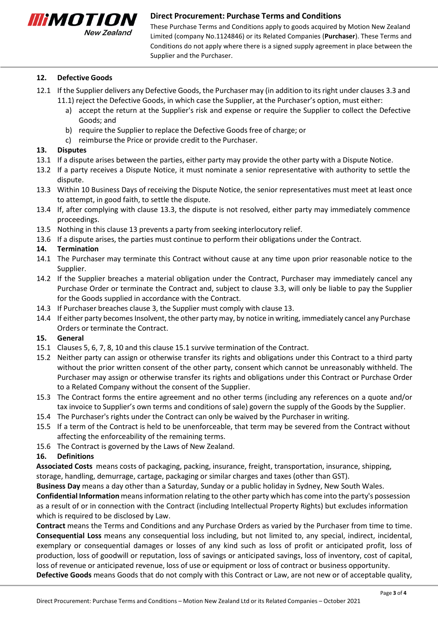

These Purchase Terms and Conditions apply to goods acquired by Motion New Zealand Limited (company No.1124846) or its Related Companies (**Purchaser**). These Terms and Conditions do not apply where there is a signed supply agreement in place between the Supplier and the Purchaser.

## **12. Defective Goods**

- 12.1 If the Supplier delivers any Defective Goods, the Purchaser may (in addition to itsright under clauses 3.3 and 11.1) reject the Defective Goods, in which case the Supplier, at the Purchaser's option, must either:
	- a) accept the return at the Supplier's risk and expense or require the Supplier to collect the Defective Goods; and
	- b) require the Supplier to replace the Defective Goods free of charge; or
	- c) reimburse the Price or provide credit to the Purchaser.

### **13. Disputes**

- 13.1 If a dispute arises between the parties, either party may provide the other party with a Dispute Notice.
- 13.2 If a party receives a Dispute Notice, it must nominate a senior representative with authority to settle the dispute.
- 13.3 Within 10 Business Days of receiving the Dispute Notice, the senior representatives must meet at least once to attempt, in good faith, to settle the dispute.
- 13.4 If, after complying with clause 13.3, the dispute is not resolved, either party may immediately commence proceedings.
- 13.5 Nothing in this clause 13 prevents a party from seeking interlocutory relief.
- 13.6 If a dispute arises, the parties must continue to perform their obligations under the Contract.

## **14. Termination**

- 14.1 The Purchaser may terminate this Contract without cause at any time upon prior reasonable notice to the Supplier.
- 14.2 If the Supplier breaches a material obligation under the Contract, Purchaser may immediately cancel any Purchase Order or terminate the Contract and, subject to clause 3.3, will only be liable to pay the Supplier for the Goods supplied in accordance with the Contract.
- 14.3 If Purchaser breaches clause 3, the Supplier must comply with clause 13.
- 14.4 If either party becomes Insolvent, the other party may, by notice in writing, immediately cancel any Purchase Orders or terminate the Contract.

### **15. General**

- 15.1 Clauses 5, 6, 7, 8, 10 and this clause 15.1 survive termination of the Contract.
- 15.2 Neither party can assign or otherwise transfer its rights and obligations under this Contract to a third party without the prior written consent of the other party, consent which cannot be unreasonably withheld. The Purchaser may assign or otherwise transfer its rights and obligations under this Contract or Purchase Order to a Related Company without the consent of the Supplier.
- 15.3 The Contract forms the entire agreement and no other terms (including any references on a quote and/or tax invoice to Supplier's own terms and conditions of sale) govern the supply of the Goods by the Supplier.
- 15.4 The Purchaser's rights under the Contract can only be waived by the Purchaser in writing.
- 15.5 If a term of the Contract is held to be unenforceable, that term may be severed from the Contract without affecting the enforceability of the remaining terms.
- 15.6 The Contract is governed by the Laws of New Zealand.

# **16. Definitions**

**Associated Costs** means costs of packaging, packing, insurance, freight, transportation, insurance, shipping, storage, handling, demurrage, cartage, packaging or similar charges and taxes (other than GST).

**Business Day** means a day other than a Saturday, Sunday or a public holiday in Sydney, New South Wales.

**Confidential Information** meansinformation relating to the other party which has come into the party's possession as a result of or in connection with the Contract (including Intellectual Property Rights) but excludes information which is required to be disclosed by Law.

**Contract** means the Terms and Conditions and any Purchase Orders as varied by the Purchaser from time to time. **Consequential Loss** means any consequential loss including, but not limited to, any special, indirect, incidental, exemplary or consequential damages or losses of any kind such as loss of profit or anticipated profit, loss of production, loss of goodwill or reputation, loss of savings or anticipated savings, loss of inventory, cost of capital, loss of revenue or anticipated revenue, loss of use or equipment or loss of contract or business opportunity. **Defective Goods** means Goods that do not comply with this Contract or Law, are not new or of acceptable quality,